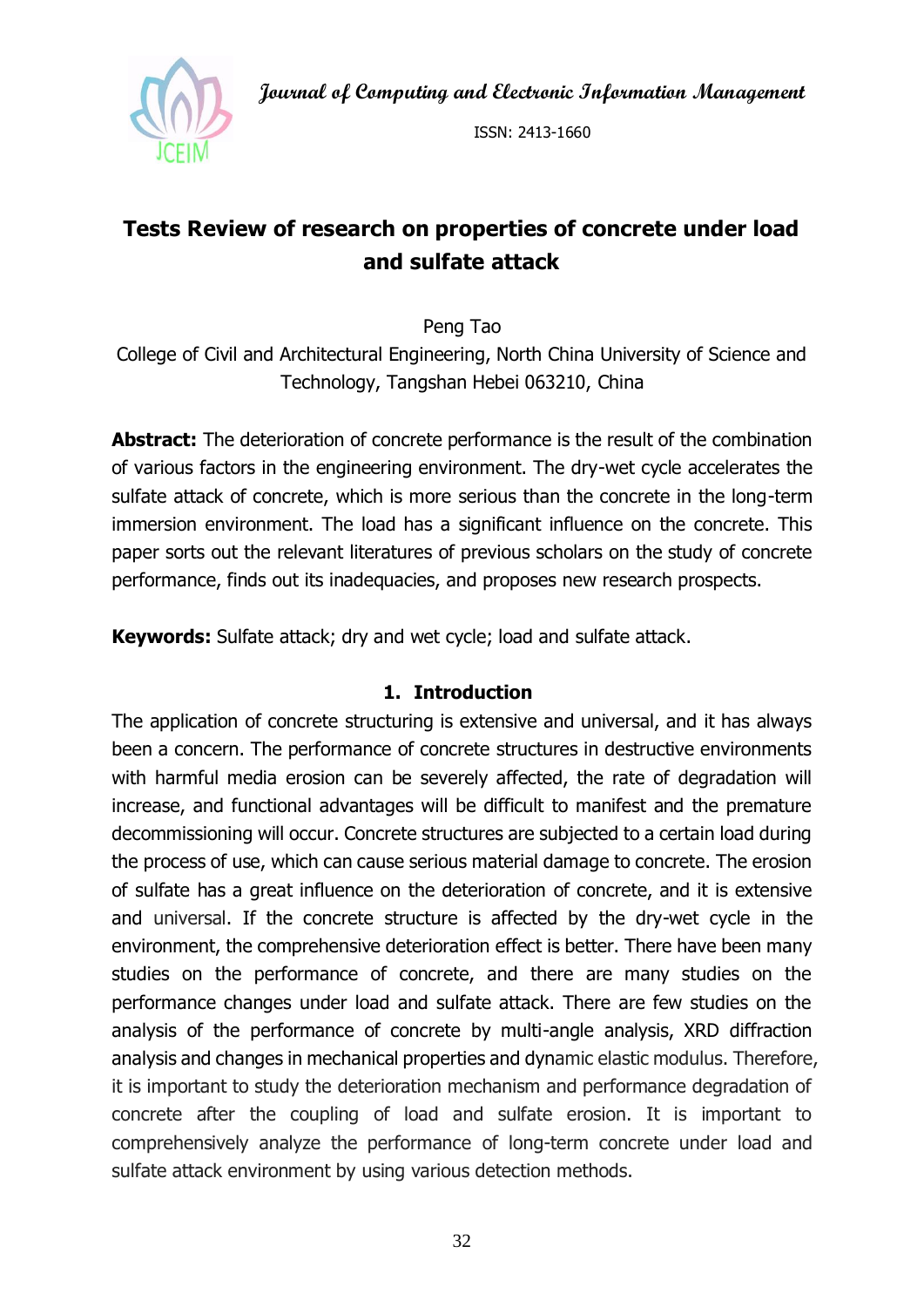**Journal of Computing and Electronic Information Management**



ISSN: 2413-1660

# **Tests Review of research on properties of concrete under load and sulfate attack**

Peng Tao

College of Civil and Architectural Engineering, North China University of Science and Technology, Tangshan Hebei 063210, China

**Abstract:** The deterioration of concrete performance is the result of the combination of various factors in the engineering environment. The dry-wet cycle accelerates the sulfate attack of concrete, which is more serious than the concrete in the long-term immersion environment. The load has a significant influence on the concrete. This paper sorts out the relevant literatures of previous scholars on the study of concrete performance, finds out its inadequacies, and proposes new research prospects.

**Keywords:** Sulfate attack; dry and wet cycle; load and sulfate attack.

#### **1. Introduction**

The application of concrete structuring is extensive and universal, and it has always been a concern. The performance of concrete structures in destructive environments with harmful media erosion can be severely affected, the rate of degradation will increase, and functional advantages will be difficult to manifest and the premature decommissioning will occur. Concrete structures are subjected to a certain load during the process of use, which can cause serious material damage to concrete. The erosion of sulfate has a great influence on the deterioration of concrete, and it is extensive and universal. If the concrete structure is affected by the dry-wet cycle in the environment, the comprehensive deterioration effect is better. There have been many studies on the performance of concrete, and there are many studies on the performance changes under load and sulfate attack. There are few studies on the analysis of the performance of concrete by multi-angle analysis, XRD diffraction analysis and changes in mechanical properties and dynamic elastic modulus. Therefore, it is important to study the deterioration mechanism and performance degradation of concrete after the coupling of load and sulfate erosion. It is important to comprehensively analyze the performance of long-term concrete under load and sulfate attack environment by using various detection methods.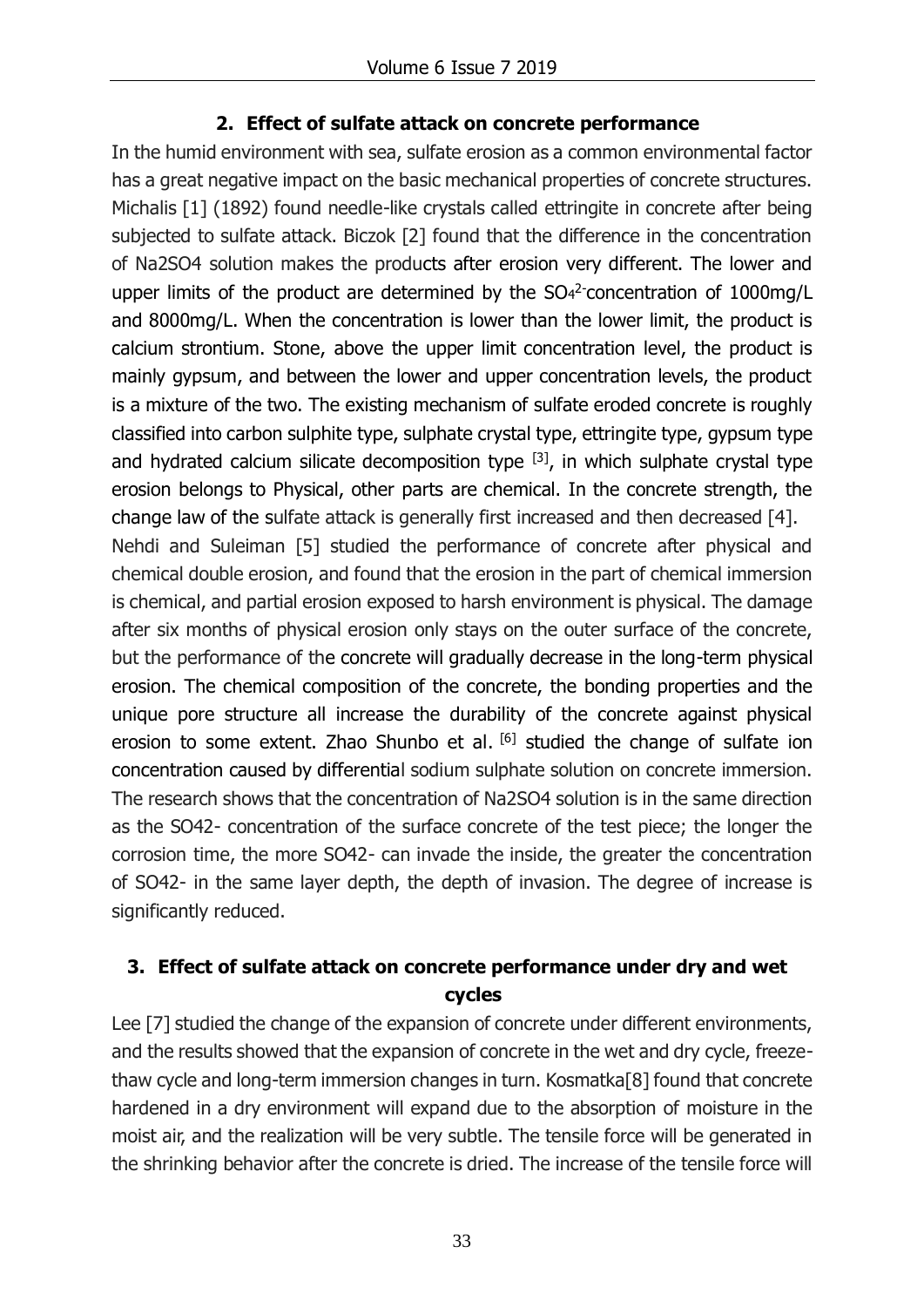### **2. Effect of sulfate attack on concrete performance**

In the humid environment with sea, sulfate erosion as a common environmental factor has a great negative impact on the basic mechanical properties of concrete structures. Michalis [1] (1892) found needle-like crystals called ettringite in concrete after being subjected to sulfate attack. Biczok [2] found that the difference in the concentration of Na2SO4 solution makes the products after erosion very different. The lower and upper limits of the product are determined by the  $SO<sub>4</sub><sup>2</sup>$  concentration of 1000mg/L and 8000mg/L. When the concentration is lower than the lower limit, the product is calcium strontium. Stone, above the upper limit concentration level, the product is mainly gypsum, and between the lower and upper concentration levels, the product is a mixture of the two. The existing mechanism of sulfate eroded concrete is roughly classified into carbon sulphite type, sulphate crystal type, ettringite type, gypsum type and hydrated calcium silicate decomposition type  $[3]$ , in which sulphate crystal type erosion belongs to Physical, other parts are chemical. In the concrete strength, the change law of the sulfate attack is generally first increased and then decreased [4]. Nehdi and Suleiman [5] studied the performance of concrete after physical and chemical double erosion, and found that the erosion in the part of chemical immersion is chemical, and partial erosion exposed to harsh environment is physical. The damage after six months of physical erosion only stays on the outer surface of the concrete, but the performance of the concrete will gradually decrease in the long-term physical erosion. The chemical composition of the concrete, the bonding properties and the unique pore structure all increase the durability of the concrete against physical erosion to some extent. Zhao Shunbo et al. [6] studied the change of sulfate ion concentration caused by differential sodium sulphate solution on concrete immersion. The research shows that the concentration of Na2SO4 solution is in the same direction as the SO42- concentration of the surface concrete of the test piece; the longer the corrosion time, the more SO42- can invade the inside, the greater the concentration of SO42- in the same layer depth, the depth of invasion. The degree of increase is significantly reduced.

## **3. Effect of sulfate attack on concrete performance under dry and wet cycles**

Lee [7] studied the change of the expansion of concrete under different environments, and the results showed that the expansion of concrete in the wet and dry cycle, freezethaw cycle and long-term immersion changes in turn. Kosmatka[8] found that concrete hardened in a dry environment will expand due to the absorption of moisture in the moist air, and the realization will be very subtle. The tensile force will be generated in the shrinking behavior after the concrete is dried. The increase of the tensile force will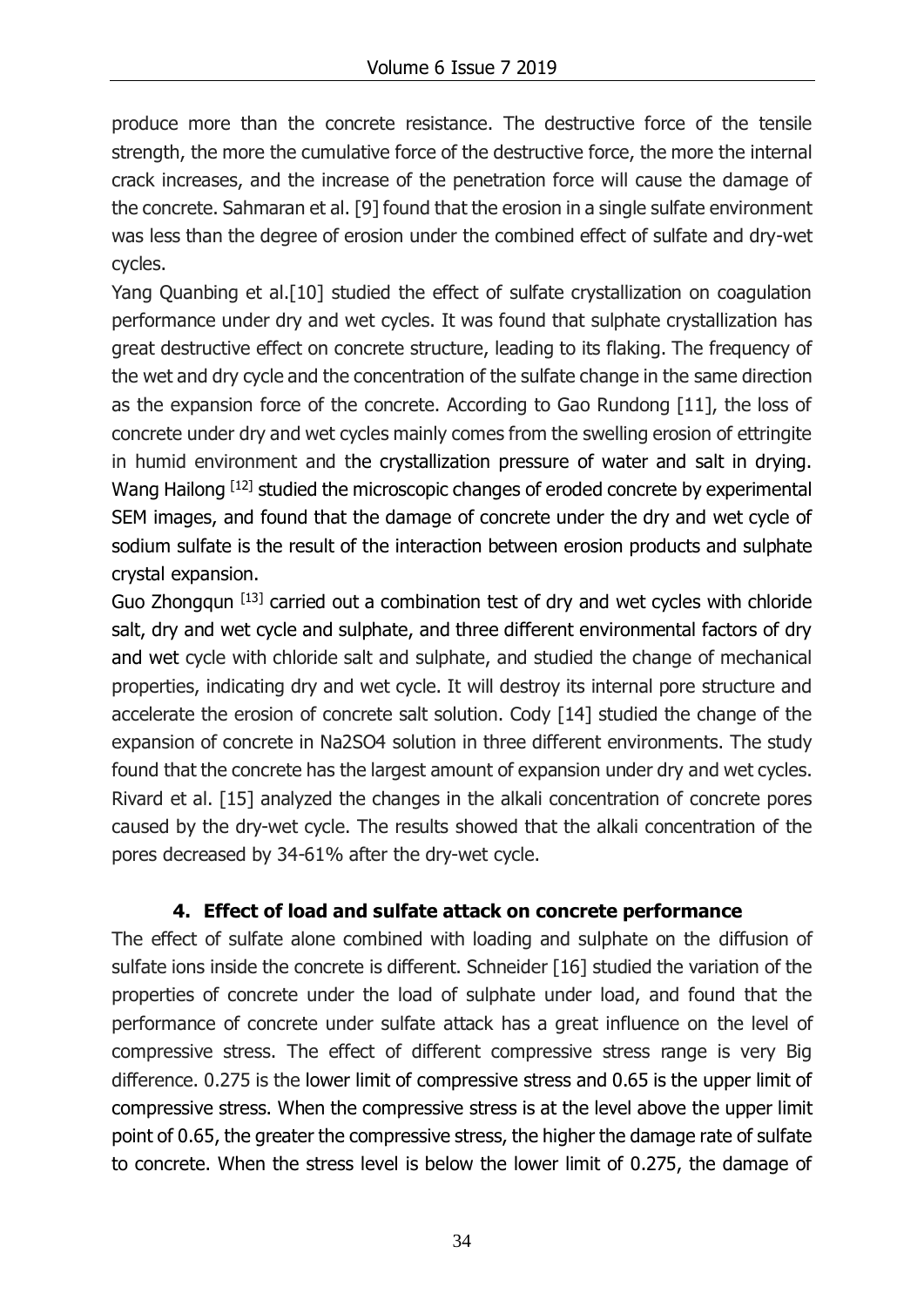produce more than the concrete resistance. The destructive force of the tensile strength, the more the cumulative force of the destructive force, the more the internal crack increases, and the increase of the penetration force will cause the damage of the concrete. Sahmaran et al. [9] found that the erosion in a single sulfate environment was less than the degree of erosion under the combined effect of sulfate and dry-wet cycles.

Yang Quanbing et al.[10] studied the effect of sulfate crystallization on coagulation performance under dry and wet cycles. It was found that sulphate crystallization has great destructive effect on concrete structure, leading to its flaking. The frequency of the wet and dry cycle and the concentration of the sulfate change in the same direction as the expansion force of the concrete. According to Gao Rundong [11], the loss of concrete under dry and wet cycles mainly comes from the swelling erosion of ettringite in humid environment and the crystallization pressure of water and salt in drying. Wang Hailong [12] studied the microscopic changes of eroded concrete by experimental SEM images, and found that the damage of concrete under the dry and wet cycle of sodium sulfate is the result of the interaction between erosion products and sulphate crystal expansion.

Guo Zhongqun [13] carried out a combination test of dry and wet cycles with chloride salt, dry and wet cycle and sulphate, and three different environmental factors of dry and wet cycle with chloride salt and sulphate, and studied the change of mechanical properties, indicating dry and wet cycle. It will destroy its internal pore structure and accelerate the erosion of concrete salt solution. Cody [14] studied the change of the expansion of concrete in Na2SO4 solution in three different environments. The study found that the concrete has the largest amount of expansion under dry and wet cycles. Rivard et al. [15] analyzed the changes in the alkali concentration of concrete pores caused by the dry-wet cycle. The results showed that the alkali concentration of the pores decreased by 34-61% after the dry-wet cycle.

### **4. Effect of load and sulfate attack on concrete performance**

The effect of sulfate alone combined with loading and sulphate on the diffusion of sulfate ions inside the concrete is different. Schneider [16] studied the variation of the properties of concrete under the load of sulphate under load, and found that the performance of concrete under sulfate attack has a great influence on the level of compressive stress. The effect of different compressive stress range is very Big difference. 0.275 is the lower limit of compressive stress and 0.65 is the upper limit of compressive stress. When the compressive stress is at the level above the upper limit point of 0.65, the greater the compressive stress, the higher the damage rate of sulfate to concrete. When the stress level is below the lower limit of 0.275, the damage of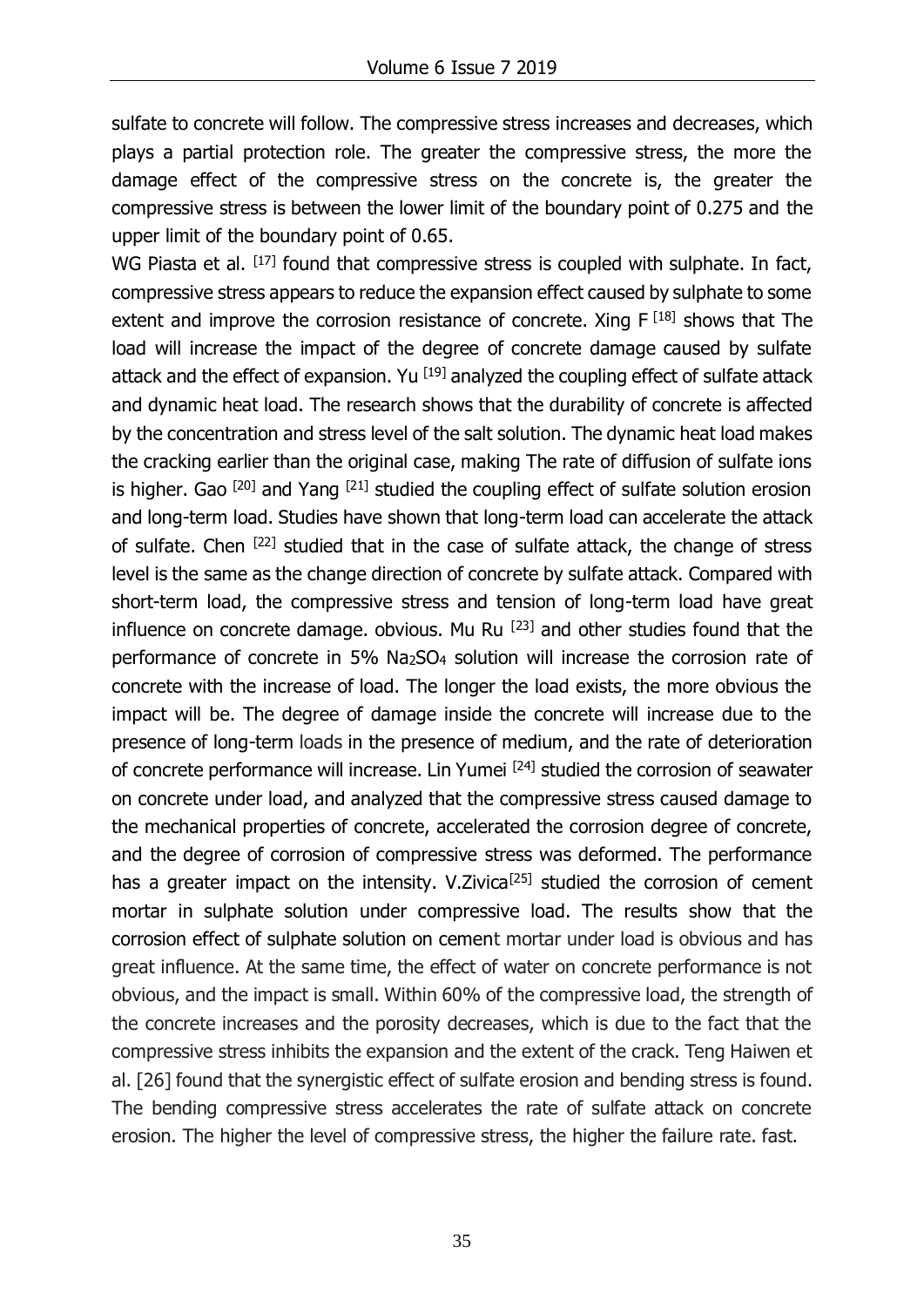sulfate to concrete will follow. The compressive stress increases and decreases, which plays a partial protection role. The greater the compressive stress, the more the damage effect of the compressive stress on the concrete is, the greater the compressive stress is between the lower limit of the boundary point of 0.275 and the upper limit of the boundary point of 0.65.

WG Piasta et al. [17] found that compressive stress is coupled with sulphate. In fact, compressive stress appears to reduce the expansion effect caused by sulphate to some extent and improve the corrosion resistance of concrete. Xing  $F^{[18]}$  shows that The load will increase the impact of the degree of concrete damage caused by sulfate attack and the effect of expansion. Yu  $^{[19]}$  analyzed the coupling effect of sulfate attack and dynamic heat load. The research shows that the durability of concrete is affected by the concentration and stress level of the salt solution. The dynamic heat load makes the cracking earlier than the original case, making The rate of diffusion of sulfate ions is higher. Gao  $[20]$  and Yang  $[21]$  studied the coupling effect of sulfate solution erosion and long-term load. Studies have shown that long-term load can accelerate the attack of sulfate. Chen  $[22]$  studied that in the case of sulfate attack, the change of stress level is the same as the change direction of concrete by sulfate attack. Compared with short-term load, the compressive stress and tension of long-term load have great influence on concrete damage. obvious. Mu Ru  $[23]$  and other studies found that the performance of concrete in 5% Na2SO<sup>4</sup> solution will increase the corrosion rate of concrete with the increase of load. The longer the load exists, the more obvious the impact will be. The degree of damage inside the concrete will increase due to the presence of long-term loads in the presence of medium, and the rate of deterioration of concrete performance will increase. Lin Yumei [24] studied the corrosion of seawater on concrete under load, and analyzed that the compressive stress caused damage to the mechanical properties of concrete, accelerated the corrosion degree of concrete, and the degree of corrosion of compressive stress was deformed. The performance has a greater impact on the intensity. V.Zivica<sup>[25]</sup> studied the corrosion of cement mortar in sulphate solution under compressive load. The results show that the corrosion effect of sulphate solution on cement mortar under load is obvious and has great influence. At the same time, the effect of water on concrete performance is not obvious, and the impact is small. Within 60% of the compressive load, the strength of the concrete increases and the porosity decreases, which is due to the fact that the compressive stress inhibits the expansion and the extent of the crack. Teng Haiwen et al. [26] found that the synergistic effect of sulfate erosion and bending stress is found. The bending compressive stress accelerates the rate of sulfate attack on concrete erosion. The higher the level of compressive stress, the higher the failure rate. fast.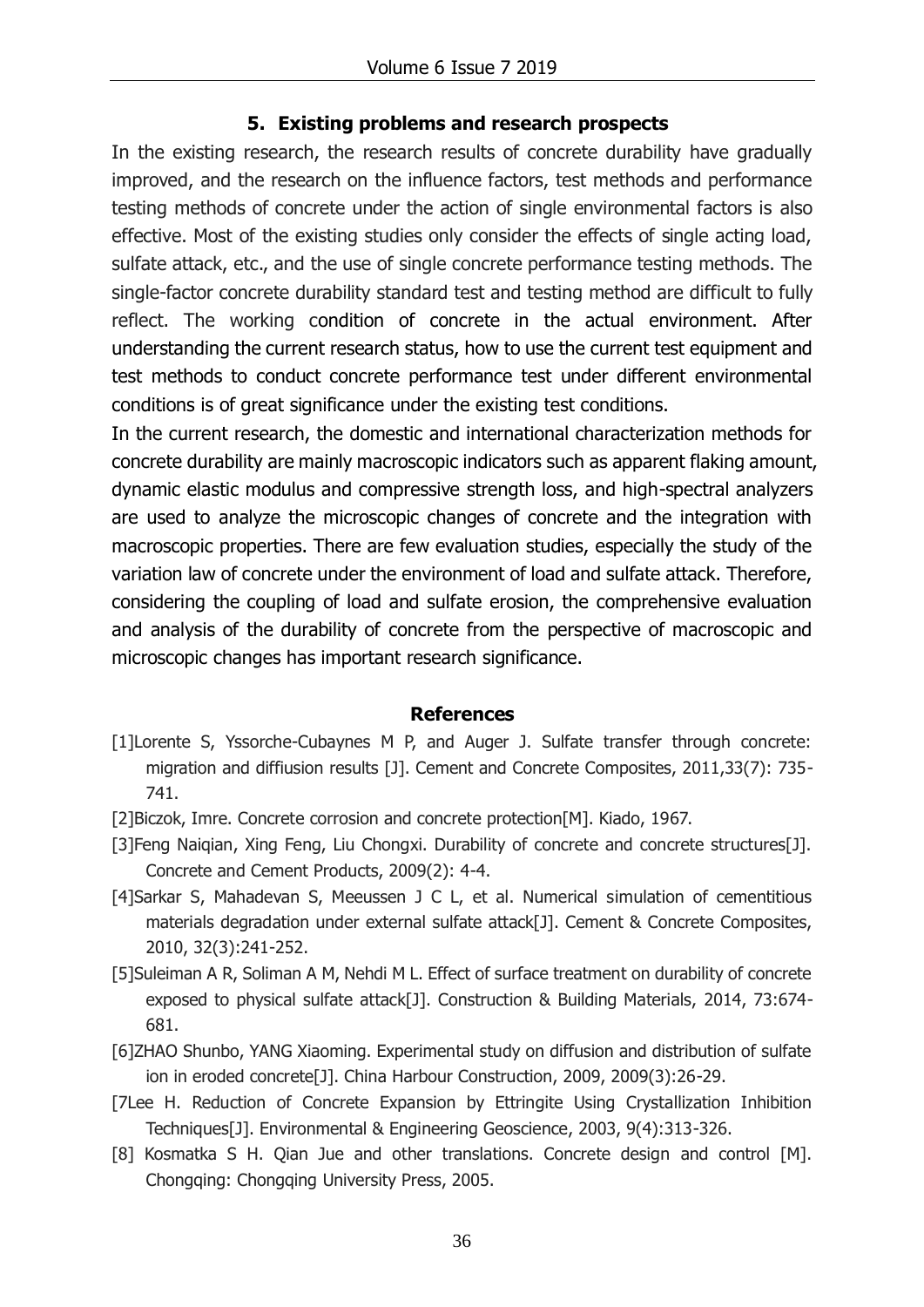#### **5. Existing problems and research prospects**

In the existing research, the research results of concrete durability have gradually improved, and the research on the influence factors, test methods and performance testing methods of concrete under the action of single environmental factors is also effective. Most of the existing studies only consider the effects of single acting load, sulfate attack, etc., and the use of single concrete performance testing methods. The single-factor concrete durability standard test and testing method are difficult to fully reflect. The working condition of concrete in the actual environment. After understanding the current research status, how to use the current test equipment and test methods to conduct concrete performance test under different environmental conditions is of great significance under the existing test conditions.

In the current research, the domestic and international characterization methods for concrete durability are mainly macroscopic indicators such as apparent flaking amount, dynamic elastic modulus and compressive strength loss, and high-spectral analyzers are used to analyze the microscopic changes of concrete and the integration with macroscopic properties. There are few evaluation studies, especially the study of the variation law of concrete under the environment of load and sulfate attack. Therefore, considering the coupling of load and sulfate erosion, the comprehensive evaluation and analysis of the durability of concrete from the perspective of macroscopic and microscopic changes has important research significance.

#### **References**

- [1]Lorente S, Yssorche-Cubaynes M P, and Auger J. Sulfate transfer through concrete: migration and diffiusion results [J]. Cement and Concrete Composites, 2011,33(7): 735- 741.
- [2]Biczok, Imre. Concrete corrosion and concrete protection[M]. Kiado, 1967.
- [3]Feng Naiqian, Xing Feng, Liu Chongxi. Durability of concrete and concrete structures[J]. Concrete and Cement Products, 2009(2): 4-4.
- [4]Sarkar S, Mahadevan S, Meeussen J C L, et al. Numerical simulation of cementitious materials degradation under external sulfate attack[J]. Cement & Concrete Composites, 2010, 32(3):241-252.
- [5]Suleiman A R, Soliman A M, Nehdi M L. Effect of surface treatment on durability of concrete exposed to physical sulfate attack[J]. Construction & Building Materials, 2014, 73:674- 681.
- [6]ZHAO Shunbo, YANG Xiaoming. Experimental study on diffusion and distribution of sulfate ion in eroded concrete[J]. China Harbour Construction, 2009, 2009(3):26-29.
- [7Lee H. Reduction of Concrete Expansion by Ettringite Using Crystallization Inhibition Techniques[J]. Environmental & Engineering Geoscience, 2003, 9(4):313-326.
- [8] Kosmatka S H. Qian Jue and other translations. Concrete design and control [M]. Chongqing: Chongqing University Press, 2005.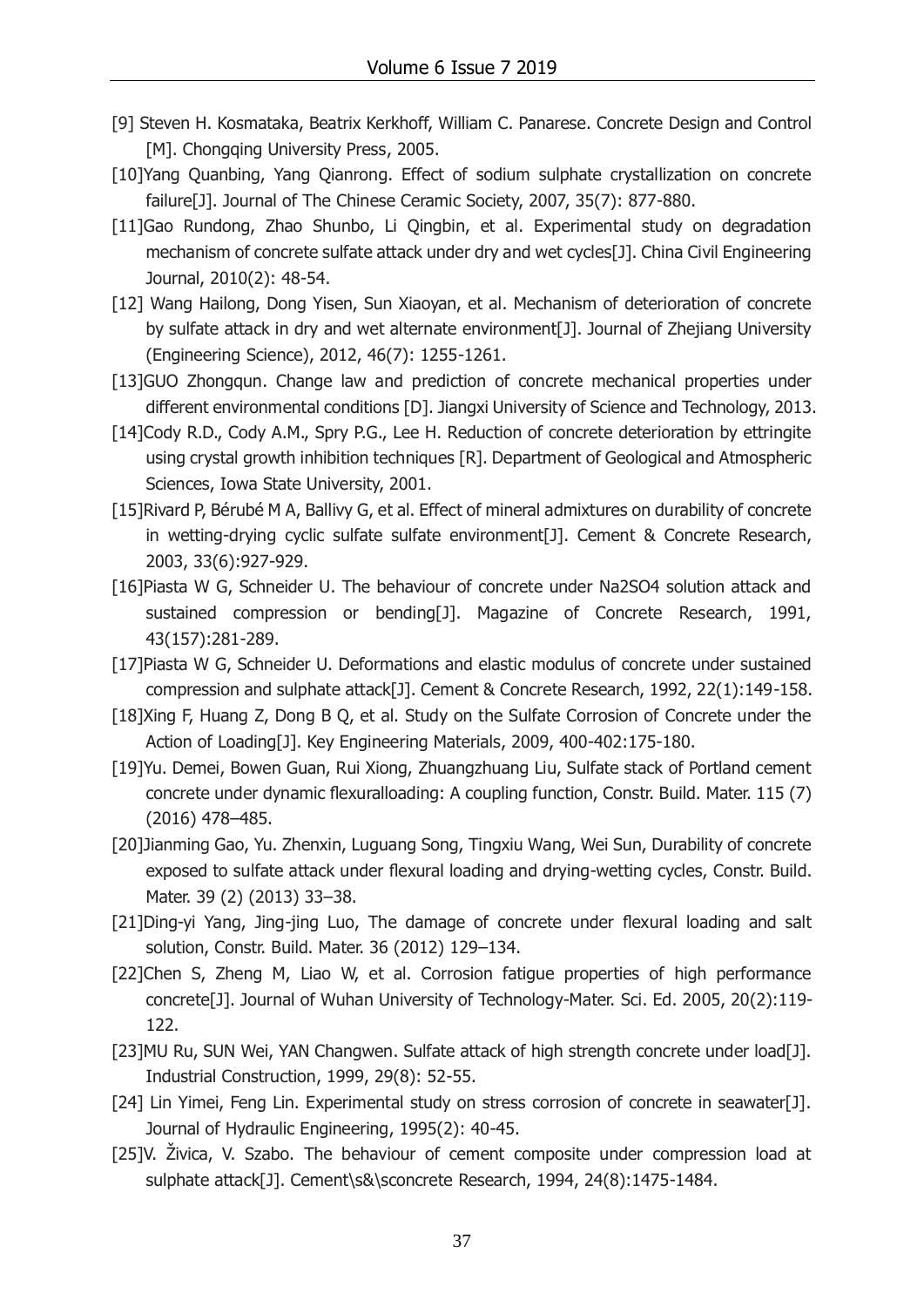- [9] Steven H. Kosmataka, Beatrix Kerkhoff, William C. Panarese. Concrete Design and Control [M]. Chongqing University Press, 2005.
- [10]Yang Quanbing, Yang Qianrong. Effect of sodium sulphate crystallization on concrete failure[J]. Journal of The Chinese Ceramic Society, 2007, 35(7): 877-880.
- [11]Gao Rundong, Zhao Shunbo, Li Qingbin, et al. Experimental study on degradation mechanism of concrete sulfate attack under dry and wet cycles[J]. China Civil Engineering Journal, 2010(2): 48-54.
- [12] Wang Hailong, Dong Yisen, Sun Xiaoyan, et al. Mechanism of deterioration of concrete by sulfate attack in dry and wet alternate environment[J]. Journal of Zhejiang University (Engineering Science), 2012, 46(7): 1255-1261.
- [13]GUO Zhongqun. Change law and prediction of concrete mechanical properties under different environmental conditions [D]. Jiangxi University of Science and Technology, 2013.
- [14]Cody R.D., Cody A.M., Spry P.G., Lee H. Reduction of concrete deterioration by ettringite using crystal growth inhibition techniques [R]. Department of Geological and Atmospheric Sciences, Iowa State University, 2001.
- [15]Rivard P, Bérubé M A, Ballivy G, et al. Effect of mineral admixtures on durability of concrete in wetting-drying cyclic sulfate sulfate environment[J]. Cement & Concrete Research, 2003, 33(6):927-929.
- [16]Piasta W G, Schneider U. The behaviour of concrete under Na2SO4 solution attack and sustained compression or bending[J]. Magazine of Concrete Research, 1991, 43(157):281-289.
- [17]Piasta W G, Schneider U. Deformations and elastic modulus of concrete under sustained compression and sulphate attack[J]. Cement & Concrete Research, 1992, 22(1):149-158.
- [18]Xing F, Huang Z, Dong B Q, et al. Study on the Sulfate Corrosion of Concrete under the Action of Loading[J]. Key Engineering Materials, 2009, 400-402:175-180.
- [19]Yu. Demei, Bowen Guan, Rui Xiong, Zhuangzhuang Liu, Sulfate stack of Portland cement concrete under dynamic flexuralloading: A coupling function, Constr. Build. Mater. 115 (7) (2016) 478–485.
- [20]Jianming Gao, Yu. Zhenxin, Luguang Song, Tingxiu Wang, Wei Sun, Durability of concrete exposed to sulfate attack under flexural loading and drying-wetting cycles, Constr. Build. Mater. 39 (2) (2013) 33–38.
- [21]Ding-yi Yang, Jing-jing Luo, The damage of concrete under flexural loading and salt solution, Constr. Build. Mater. 36 (2012) 129–134.
- [22]Chen S, Zheng M, Liao W, et al. Corrosion fatigue properties of high performance concrete[J]. Journal of Wuhan University of Technology-Mater. Sci. Ed. 2005, 20(2):119- 122.
- [23]MU Ru, SUN Wei, YAN Changwen. Sulfate attack of high strength concrete under load[J]. Industrial Construction, 1999, 29(8): 52-55.
- [24] Lin Yimei, Feng Lin. Experimental study on stress corrosion of concrete in seawater[J]. Journal of Hydraulic Engineering, 1995(2): 40-45.
- [25]V. Živica, V. Szabo. The behaviour of cement composite under compression load at sulphate attack[J]. Cement\s&\sconcrete Research, 1994, 24(8):1475-1484.